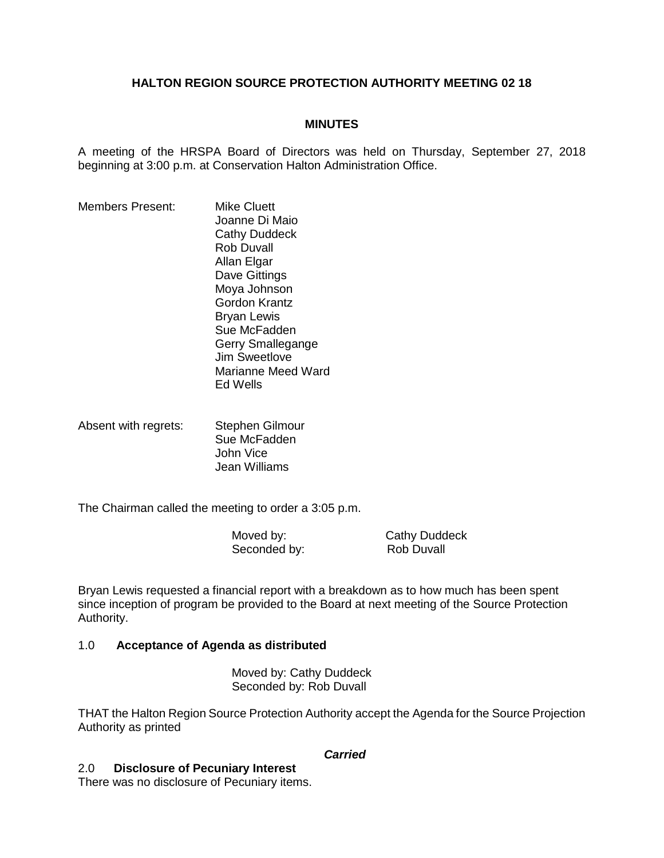# **HALTON REGION SOURCE PROTECTION AUTHORITY MEETING 02 18**

## **MINUTES**

A meeting of the HRSPA Board of Directors was held on Thursday, September 27, 2018 beginning at 3:00 p.m. at Conservation Halton Administration Office.

- Members Present: Mike Cluett Joanne Di Maio Cathy Duddeck Rob Duvall Allan Elgar Dave Gittings Moya Johnson Gordon Krantz Bryan Lewis Sue McFadden Gerry Smallegange Jim Sweetlove Marianne Meed Ward Ed Wells
- Absent with regrets: Stephen Gilmour Sue McFadden John Vice Jean Williams

The Chairman called the meeting to order a 3:05 p.m.

Moved by: Cathy Duddeck<br>Seconded by: Seconded by: Rob Duvall Seconded by:

Bryan Lewis requested a financial report with a breakdown as to how much has been spent since inception of program be provided to the Board at next meeting of the Source Protection Authority.

### 1.0 **Acceptance of Agenda as distributed**

Moved by: Cathy Duddeck Seconded by: Rob Duvall

THAT the Halton Region Source Protection Authority accept the Agenda for the Source Projection Authority as printed

#### *Carried*

# 2.0 **Disclosure of Pecuniary Interest**

There was no disclosure of Pecuniary items.